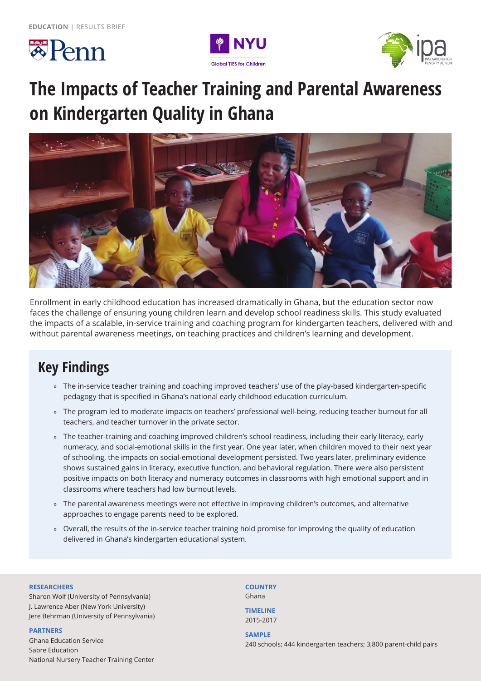





# **The Impacts of Teacher Training and Parental Awareness on Kindergarten Quality in Ghana**



Enrollment in early childhood education has increased dramatically in Ghana, but the education sector now faces the challenge of ensuring young children learn and develop school readiness skills. This study evaluated the impacts of a scalable, in-service training and coaching program for kindergarten teachers, delivered with and without parental awareness meetings, on teaching practices and children's learning and development.

# **Key Findings**

- » The in-service teacher training and coaching improved teachers' use of the play-based kindergarten-specific pedagogy that is specified in Ghana's national early childhood education curriculum.
- » The program led to moderate impacts on teachers' professional well-being, reducing teacher burnout for all teachers, and teacher turnover in the private sector.
- » The teacher-training and coaching improved children's school readiness, including their early literacy, early numeracy, and social-emotional skills in the first year. One year later, when children moved to their next year of schooling, the impacts on social-emotional development persisted. Two years later, preliminary evidence shows sustained gains in literacy, executive function, and behavioral regulation. There were also persistent positive impacts on both literacy and numeracy outcomes in classrooms with high emotional support and in classrooms where teachers had low burnout levels.
- » The parental awareness meetings were not effective in improving children's outcomes, and alternative approaches to engage parents need to be explored.
- » Overall, the results of the in-service teacher training hold promise for improving the quality of education delivered in Ghana's kindergarten educational system.

#### **RESEARCHERS**

Sharon Wolf (University of Pennsylvania) J. Lawrence Aber (New York University) Jere Behrman (University of Pennsylvania)

#### **PARTNERS**

Ghana Education Service Sabre Education National Nursery Teacher Training Center **COUNTRY** Ghana

**TIMELINE** 2015-2017

#### **SAMPLE**

240 schools; 444 kindergarten teachers; 3,800 parent-child pairs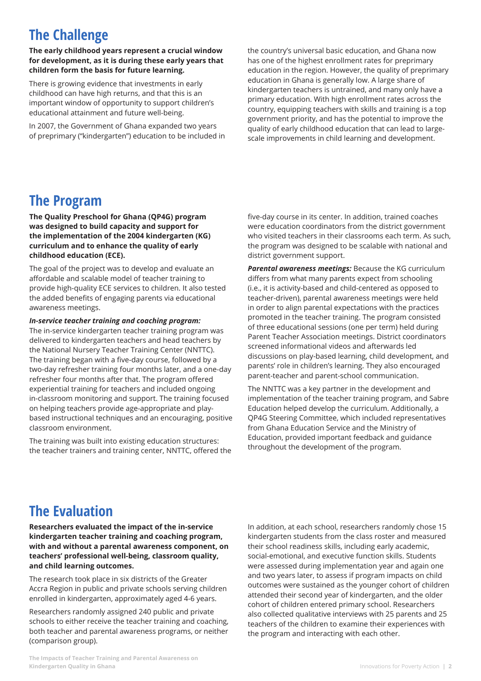# **The Challenge**

**The early childhood years represent a crucial window for development, as it is during these early years that children form the basis for future learning.** 

There is growing evidence that investments in early childhood can have high returns, and that this is an important window of opportunity to support children's educational attainment and future well-being.

In 2007, the Government of Ghana expanded two years of preprimary ("kindergarten") education to be included in the country's universal basic education, and Ghana now has one of the highest enrollment rates for preprimary education in the region. However, the quality of preprimary education in Ghana is generally low. A large share of kindergarten teachers is untrained, and many only have a primary education. With high enrollment rates across the country, equipping teachers with skills and training is a top government priority, and has the potential to improve the quality of early childhood education that can lead to largescale improvements in child learning and development.

### **The Program**

**The Quality Preschool for Ghana (QP4G) program was designed to build capacity and support for the implementation of the 2004 kindergarten (KG) curriculum and to enhance the quality of early childhood education (ECE).** 

The goal of the project was to develop and evaluate an affordable and scalable model of teacher training to provide high-quality ECE services to children. It also tested the added benefits of engaging parents via educational awareness meetings.

### *In-service teacher training and coaching program:*

The in-service kindergarten teacher training program was delivered to kindergarten teachers and head teachers by the National Nursery Teacher Training Center (NNTTC). The training began with a five-day course, followed by a two-day refresher training four months later, and a one-day refresher four months after that. The program offered experiential training for teachers and included ongoing in-classroom monitoring and support. The training focused on helping teachers provide age-appropriate and playbased instructional techniques and an encouraging, positive classroom environment.

The training was built into existing education structures: the teacher trainers and training center, NNTTC, offered the

five-day course in its center. In addition, trained coaches were education coordinators from the district government who visited teachers in their classrooms each term. As such, the program was designed to be scalable with national and district government support.

*Parental awareness meetings:* Because the KG curriculum differs from what many parents expect from schooling (i.e., it is activity-based and child-centered as opposed to teacher-driven), parental awareness meetings were held in order to align parental expectations with the practices promoted in the teacher training. The program consisted of three educational sessions (one per term) held during Parent Teacher Association meetings. District coordinators screened informational videos and afterwards led discussions on play-based learning, child development, and parents' role in children's learning. They also encouraged parent-teacher and parent-school communication.

The NNTTC was a key partner in the development and implementation of the teacher training program, and Sabre Education helped develop the curriculum. Additionally, a QP4G Steering Committee, which included representatives from Ghana Education Service and the Ministry of Education, provided important feedback and guidance throughout the development of the program.

## **The Evaluation**

**Researchers evaluated the impact of the in-service kindergarten teacher training and coaching program, with and without a parental awareness component, on teachers' professional well-being, classroom quality, and child learning outcomes.**

The research took place in six districts of the Greater Accra Region in public and private schools serving children enrolled in kindergarten, approximately aged 4-6 years.

Researchers randomly assigned 240 public and private schools to either receive the teacher training and coaching, both teacher and parental awareness programs, or neither (comparison group).

In addition, at each school, researchers randomly chose 15 kindergarten students from the class roster and measured their school readiness skills, including early academic, social-emotional, and executive function skills. Students were assessed during implementation year and again one and two years later, to assess if program impacts on child outcomes were sustained as the younger cohort of children attended their second year of kindergarten, and the older cohort of children entered primary school. Researchers also collected qualitative interviews with 25 parents and 25 teachers of the children to examine their experiences with the program and interacting with each other.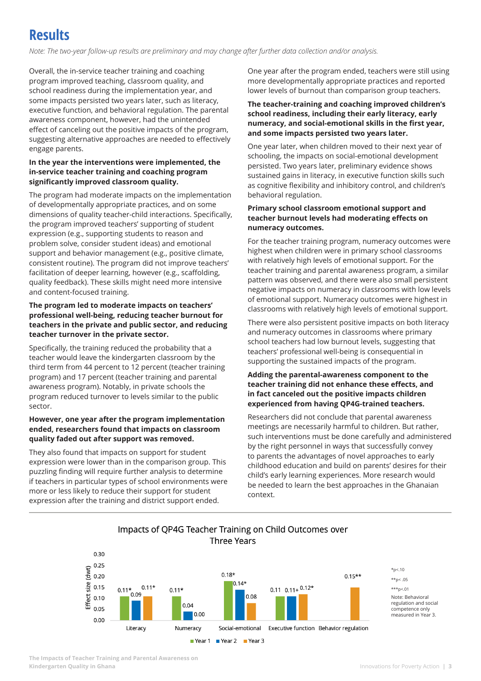## **Results**

*Note: The two-year follow-up results are preliminary and may change after further data collection and/or analysis.*

Overall, the in-service teacher training and coaching program improved teaching, classroom quality, and school readiness during the implementation year, and some impacts persisted two years later, such as literacy, executive function, and behavioral regulation. The parental awareness component, however, had the unintended effect of canceling out the positive impacts of the program, suggesting alternative approaches are needed to effectively engage parents.

### **In the year the interventions were implemented, the in-service teacher training and coaching program significantly improved classroom quality.**

The program had moderate impacts on the implementation of developmentally appropriate practices, and on some dimensions of quality teacher-child interactions. Specifically, the program improved teachers' supporting of student expression (e.g., supporting students to reason and problem solve, consider student ideas) and emotional support and behavior management (e.g., positive climate, consistent routine). The program did not improve teachers' facilitation of deeper learning, however (e.g., scaffolding, quality feedback). These skills might need more intensive and content-focused training.

### **The program led to moderate impacts on teachers' professional well-being, reducing teacher burnout for teachers in the private and public sector, and reducing teacher turnover in the private sector.**

Specifically, the training reduced the probability that a teacher would leave the kindergarten classroom by the third term from 44 percent to 12 percent (teacher training program) and 17 percent (teacher training and parental awareness program). Notably, in private schools the program reduced turnover to levels similar to the public sector.

### **However, one year after the program implementation ended, researchers found that impacts on classroom quality faded out after support was removed.**

They also found that impacts on support for student expression were lower than in the comparison group. This puzzling finding will require further analysis to determine if teachers in particular types of school environments were more or less likely to reduce their support for student expression after the training and district support ended.

One year after the program ended, teachers were still using more developmentally appropriate practices and reported lower levels of burnout than comparison group teachers.

### **The teacher-training and coaching improved children's school readiness, including their early literacy, early numeracy, and social-emotional skills in the first year, and some impacts persisted two years later.**

One year later, when children moved to their next year of schooling, the impacts on social-emotional development persisted. Two years later, preliminary evidence shows sustained gains in literacy, in executive function skills such as cognitive flexibility and inhibitory control, and children's behavioral regulation.

### **Primary school classroom emotional support and teacher burnout levels had moderating effects on numeracy outcomes.**

For the teacher training program, numeracy outcomes were highest when children were in primary school classrooms with relatively high levels of emotional support. For the teacher training and parental awareness program, a similar pattern was observed, and there were also small persistent negative impacts on numeracy in classrooms with low levels of emotional support. Numeracy outcomes were highest in classrooms with relatively high levels of emotional support.

There were also persistent positive impacts on both literacy and numeracy outcomes in classrooms where primary school teachers had low burnout levels, suggesting that teachers' professional well-being is consequential in supporting the sustained impacts of the program.

#### **Adding the parental-awareness component to the teacher training did not enhance these effects, and in fact canceled out the positive impacts children experienced from having QP4G-trained teachers.**

Researchers did not conclude that parental awareness meetings are necessarily harmful to children. But rather, such interventions must be done carefully and administered by the right personnel in ways that successfully convey to parents the advantages of novel approaches to early childhood education and build on parents' desires for their child's early learning experiences. More research would be needed to learn the best approaches in the Ghanaian context.